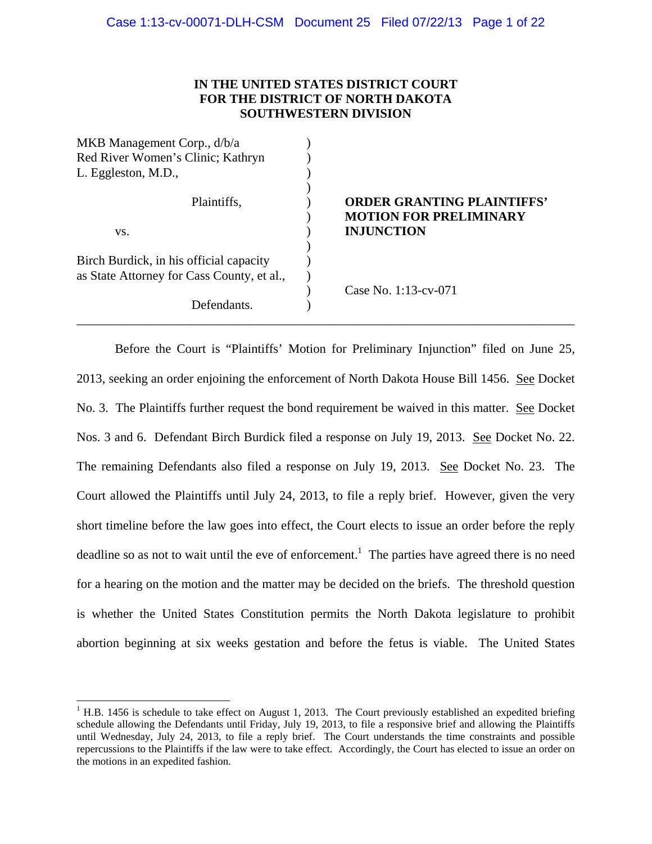## **IN THE UNITED STATES DISTRICT COURT FOR THE DISTRICT OF NORTH DAKOTA SOUTHWESTERN DIVISION**

| MKB Management Corp., d/b/a                |                                                                    |
|--------------------------------------------|--------------------------------------------------------------------|
| Red River Women's Clinic; Kathryn          |                                                                    |
| L. Eggleston, M.D.,                        |                                                                    |
| Plaintiffs,                                | <b>ORDER GRANTING PLAINTIFFS'</b><br><b>MOTION FOR PRELIMINARY</b> |
| VS.                                        | <b>INJUNCTION</b>                                                  |
|                                            |                                                                    |
| Birch Burdick, in his official capacity    |                                                                    |
| as State Attorney for Cass County, et al., |                                                                    |
|                                            | Case No. $1:13$ -cv-071                                            |
| Defendants.                                |                                                                    |

 Before the Court is "Plaintiffs' Motion for Preliminary Injunction" filed on June 25, 2013, seeking an order enjoining the enforcement of North Dakota House Bill 1456. See Docket No. 3. The Plaintiffs further request the bond requirement be waived in this matter. See Docket Nos. 3 and 6. Defendant Birch Burdick filed a response on July 19, 2013. See Docket No. 22. The remaining Defendants also filed a response on July 19, 2013. See Docket No. 23. The Court allowed the Plaintiffs until July 24, 2013, to file a reply brief. However, given the very short timeline before the law goes into effect, the Court elects to issue an order before the reply deadline so as not to wait until the eve of enforcement.<sup>1</sup> The parties have agreed there is no need for a hearing on the motion and the matter may be decided on the briefs. The threshold question is whether the United States Constitution permits the North Dakota legislature to prohibit abortion beginning at six weeks gestation and before the fetus is viable. The United States

 $\overline{a}$ 

 $<sup>1</sup>$  H.B. 1456 is schedule to take effect on August 1, 2013. The Court previously established an expedited briefing</sup> schedule allowing the Defendants until Friday, July 19, 2013, to file a responsive brief and allowing the Plaintiffs until Wednesday, July 24, 2013, to file a reply brief. The Court understands the time constraints and possible repercussions to the Plaintiffs if the law were to take effect. Accordingly, the Court has elected to issue an order on the motions in an expedited fashion.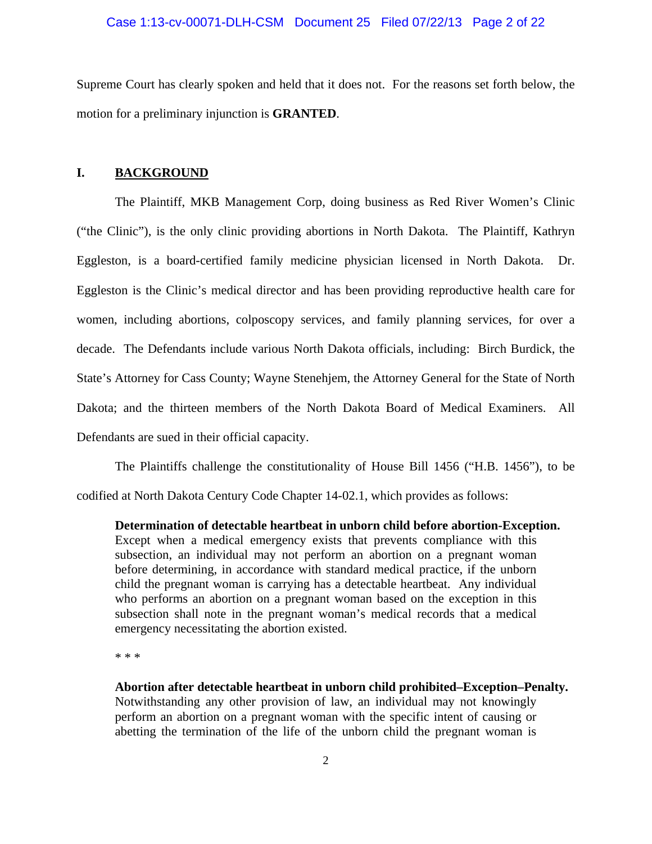#### Case 1:13-cv-00071-DLH-CSM Document 25 Filed 07/22/13 Page 2 of 22

Supreme Court has clearly spoken and held that it does not. For the reasons set forth below, the motion for a preliminary injunction is **GRANTED**.

### **I. BACKGROUND**

 The Plaintiff, MKB Management Corp, doing business as Red River Women's Clinic ("the Clinic"), is the only clinic providing abortions in North Dakota. The Plaintiff, Kathryn Eggleston, is a board-certified family medicine physician licensed in North Dakota. Dr. Eggleston is the Clinic's medical director and has been providing reproductive health care for women, including abortions, colposcopy services, and family planning services, for over a decade. The Defendants include various North Dakota officials, including: Birch Burdick, the State's Attorney for Cass County; Wayne Stenehjem, the Attorney General for the State of North Dakota; and the thirteen members of the North Dakota Board of Medical Examiners. All Defendants are sued in their official capacity.

The Plaintiffs challenge the constitutionality of House Bill 1456 ("H.B. 1456"), to be codified at North Dakota Century Code Chapter 14-02.1, which provides as follows:

**Determination of detectable heartbeat in unborn child before abortion-Exception.** Except when a medical emergency exists that prevents compliance with this subsection, an individual may not perform an abortion on a pregnant woman before determining, in accordance with standard medical practice, if the unborn child the pregnant woman is carrying has a detectable heartbeat. Any individual who performs an abortion on a pregnant woman based on the exception in this subsection shall note in the pregnant woman's medical records that a medical emergency necessitating the abortion existed.

\* \* \*

**Abortion after detectable heartbeat in unborn child prohibited–Exception–Penalty.**  Notwithstanding any other provision of law, an individual may not knowingly perform an abortion on a pregnant woman with the specific intent of causing or abetting the termination of the life of the unborn child the pregnant woman is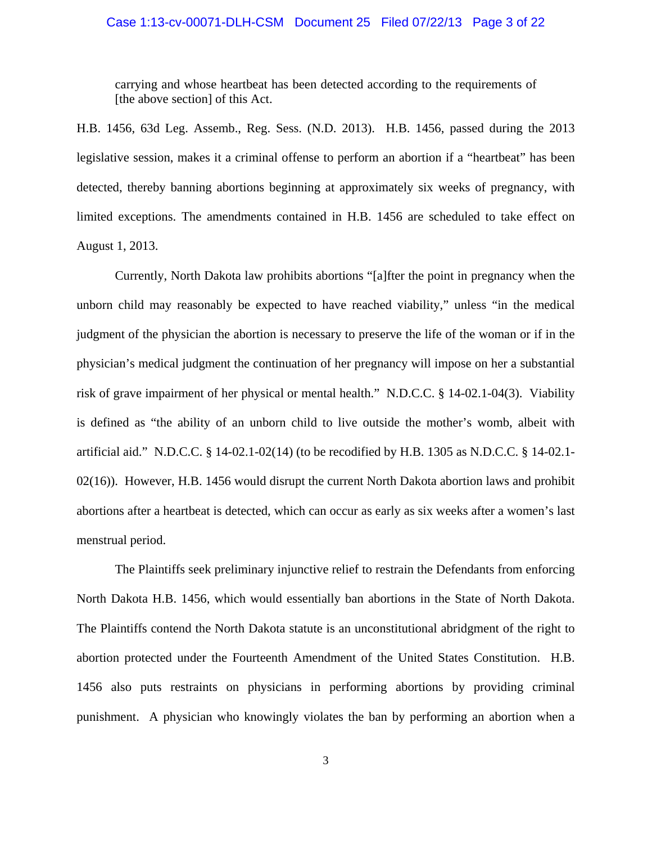### Case 1:13-cv-00071-DLH-CSM Document 25 Filed 07/22/13 Page 3 of 22

carrying and whose heartbeat has been detected according to the requirements of [the above section] of this Act.

H.B. 1456, 63d Leg. Assemb., Reg. Sess. (N.D. 2013). H.B. 1456, passed during the 2013 legislative session, makes it a criminal offense to perform an abortion if a "heartbeat" has been detected, thereby banning abortions beginning at approximately six weeks of pregnancy, with limited exceptions. The amendments contained in H.B. 1456 are scheduled to take effect on August 1, 2013.

Currently, North Dakota law prohibits abortions "[a]fter the point in pregnancy when the unborn child may reasonably be expected to have reached viability," unless "in the medical judgment of the physician the abortion is necessary to preserve the life of the woman or if in the physician's medical judgment the continuation of her pregnancy will impose on her a substantial risk of grave impairment of her physical or mental health." N.D.C.C. § 14-02.1-04(3). Viability is defined as "the ability of an unborn child to live outside the mother's womb, albeit with artificial aid." N.D.C.C. § 14-02.1-02(14) (to be recodified by H.B. 1305 as N.D.C.C. § 14-02.1- 02(16)). However, H.B. 1456 would disrupt the current North Dakota abortion laws and prohibit abortions after a heartbeat is detected, which can occur as early as six weeks after a women's last menstrual period.

The Plaintiffs seek preliminary injunctive relief to restrain the Defendants from enforcing North Dakota H.B. 1456, which would essentially ban abortions in the State of North Dakota. The Plaintiffs contend the North Dakota statute is an unconstitutional abridgment of the right to abortion protected under the Fourteenth Amendment of the United States Constitution. H.B. 1456 also puts restraints on physicians in performing abortions by providing criminal punishment. A physician who knowingly violates the ban by performing an abortion when a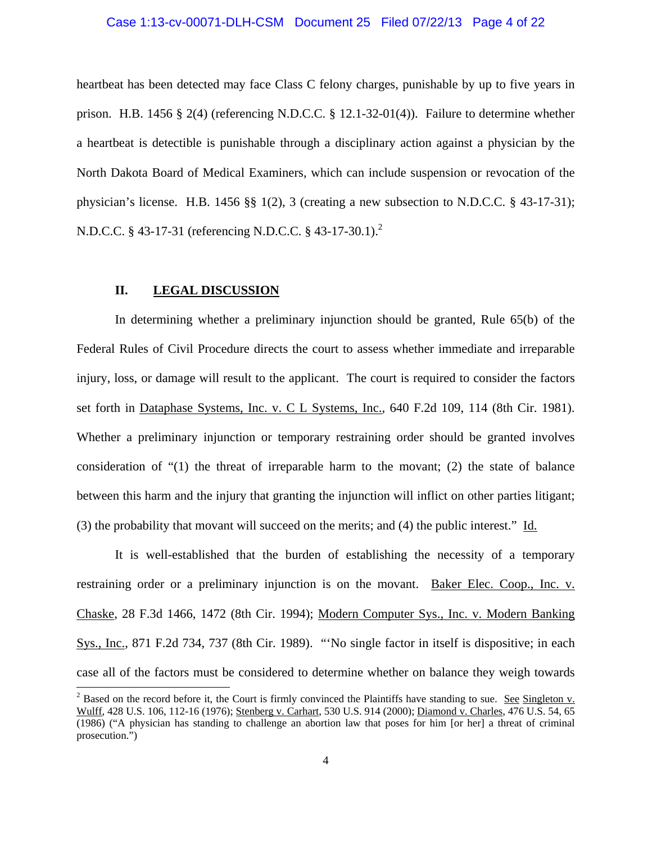# Case 1:13-cv-00071-DLH-CSM Document 25 Filed 07/22/13 Page 4 of 22

heartbeat has been detected may face Class C felony charges, punishable by up to five years in prison. H.B. 1456 § 2(4) (referencing N.D.C.C. § 12.1-32-01(4)). Failure to determine whether a heartbeat is detectible is punishable through a disciplinary action against a physician by the North Dakota Board of Medical Examiners, which can include suspension or revocation of the physician's license. H.B. 1456 §§ 1(2), 3 (creating a new subsection to N.D.C.C. § 43-17-31); N.D.C.C. § 43-17-31 (referencing N.D.C.C. § 43-17-30.1).<sup>2</sup>

## **II. LEGAL DISCUSSION**

 $\overline{a}$ 

 In determining whether a preliminary injunction should be granted, Rule 65(b) of the Federal Rules of Civil Procedure directs the court to assess whether immediate and irreparable injury, loss, or damage will result to the applicant. The court is required to consider the factors set forth in Dataphase Systems, Inc. v. C L Systems, Inc., 640 F.2d 109, 114 (8th Cir. 1981). Whether a preliminary injunction or temporary restraining order should be granted involves consideration of "(1) the threat of irreparable harm to the movant; (2) the state of balance between this harm and the injury that granting the injunction will inflict on other parties litigant; (3) the probability that movant will succeed on the merits; and (4) the public interest." Id.

 It is well-established that the burden of establishing the necessity of a temporary restraining order or a preliminary injunction is on the movant. Baker Elec. Coop., Inc. v. Chaske, 28 F.3d 1466, 1472 (8th Cir. 1994); Modern Computer Sys., Inc. v. Modern Banking Sys., Inc., 871 F.2d 734, 737 (8th Cir. 1989). "'No single factor in itself is dispositive; in each case all of the factors must be considered to determine whether on balance they weigh towards

<sup>&</sup>lt;sup>2</sup> Based on the record before it, the Court is firmly convinced the Plaintiffs have standing to sue. <u>See Singleton v.</u> Wulff, 428 U.S. 106, 112-16 (1976); Stenberg v. Carhart, 530 U.S. 914 (2000); Diamond v. Charles, 476 U.S. 54, 65 (1986) ("A physician has standing to challenge an abortion law that poses for him [or her] a threat of criminal prosecution.")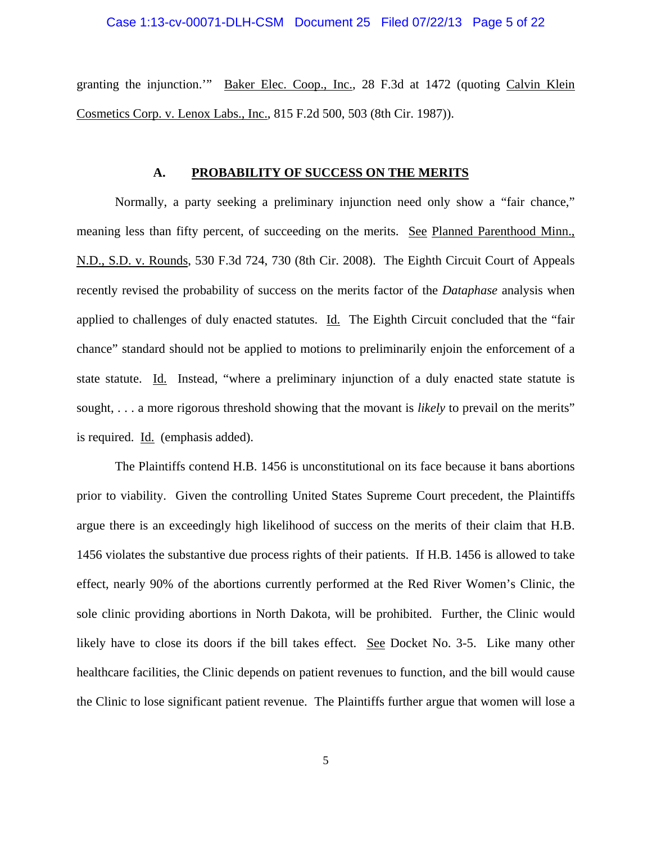## Case 1:13-cv-00071-DLH-CSM Document 25 Filed 07/22/13 Page 5 of 22

granting the injunction." Baker Elec. Coop., Inc., 28 F.3d at 1472 (quoting Calvin Klein Cosmetics Corp. v. Lenox Labs., Inc., 815 F.2d 500, 503 (8th Cir. 1987)).

#### **A. PROBABILITY OF SUCCESS ON THE MERITS**

 Normally, a party seeking a preliminary injunction need only show a "fair chance," meaning less than fifty percent, of succeeding on the merits. See Planned Parenthood Minn., N.D., S.D. v. Rounds, 530 F.3d 724, 730 (8th Cir. 2008). The Eighth Circuit Court of Appeals recently revised the probability of success on the merits factor of the *Dataphase* analysis when applied to challenges of duly enacted statutes. Id. The Eighth Circuit concluded that the "fair chance" standard should not be applied to motions to preliminarily enjoin the enforcement of a state statute. Id. Instead, "where a preliminary injunction of a duly enacted state statute is sought, . . . a more rigorous threshold showing that the movant is *likely* to prevail on the merits" is required. Id. (emphasis added).

The Plaintiffs contend H.B. 1456 is unconstitutional on its face because it bans abortions prior to viability. Given the controlling United States Supreme Court precedent, the Plaintiffs argue there is an exceedingly high likelihood of success on the merits of their claim that H.B. 1456 violates the substantive due process rights of their patients. If H.B. 1456 is allowed to take effect, nearly 90% of the abortions currently performed at the Red River Women's Clinic, the sole clinic providing abortions in North Dakota, will be prohibited. Further, the Clinic would likely have to close its doors if the bill takes effect. See Docket No. 3-5. Like many other healthcare facilities, the Clinic depends on patient revenues to function, and the bill would cause the Clinic to lose significant patient revenue. The Plaintiffs further argue that women will lose a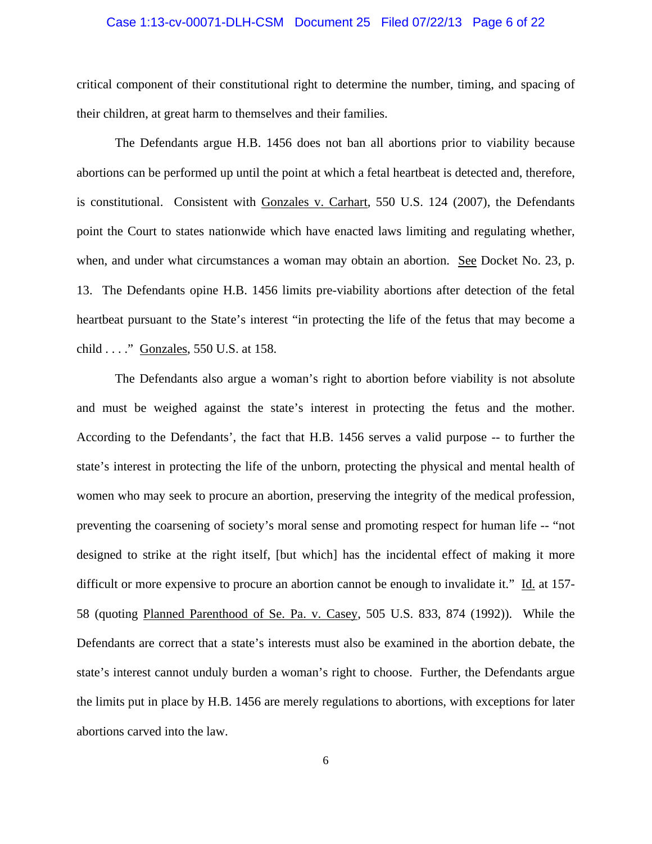#### Case 1:13-cv-00071-DLH-CSM Document 25 Filed 07/22/13 Page 6 of 22

critical component of their constitutional right to determine the number, timing, and spacing of their children, at great harm to themselves and their families.

The Defendants argue H.B. 1456 does not ban all abortions prior to viability because abortions can be performed up until the point at which a fetal heartbeat is detected and, therefore, is constitutional. Consistent with Gonzales v. Carhart, 550 U.S. 124 (2007), the Defendants point the Court to states nationwide which have enacted laws limiting and regulating whether, when, and under what circumstances a woman may obtain an abortion. See Docket No. 23, p. 13. The Defendants opine H.B. 1456 limits pre-viability abortions after detection of the fetal heartbeat pursuant to the State's interest "in protecting the life of the fetus that may become a child . . . ." Gonzales, 550 U.S. at 158.

The Defendants also argue a woman's right to abortion before viability is not absolute and must be weighed against the state's interest in protecting the fetus and the mother. According to the Defendants', the fact that H.B. 1456 serves a valid purpose -- to further the state's interest in protecting the life of the unborn, protecting the physical and mental health of women who may seek to procure an abortion, preserving the integrity of the medical profession, preventing the coarsening of society's moral sense and promoting respect for human life -- "not designed to strike at the right itself, [but which] has the incidental effect of making it more difficult or more expensive to procure an abortion cannot be enough to invalidate it." Id. at 157- 58 (quoting Planned Parenthood of Se. Pa. v. Casey, 505 U.S. 833, 874 (1992)). While the Defendants are correct that a state's interests must also be examined in the abortion debate, the state's interest cannot unduly burden a woman's right to choose. Further, the Defendants argue the limits put in place by H.B. 1456 are merely regulations to abortions, with exceptions for later abortions carved into the law.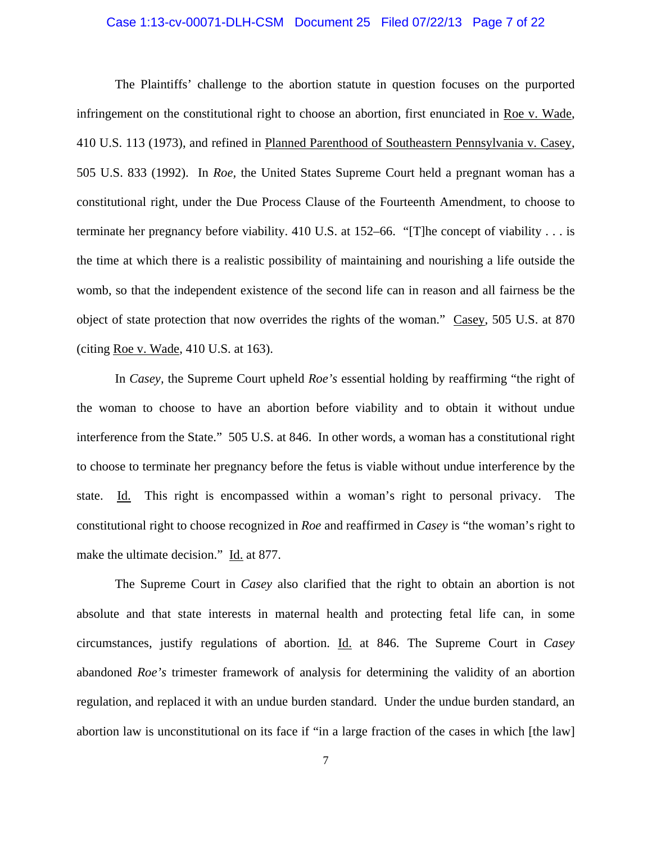### Case 1:13-cv-00071-DLH-CSM Document 25 Filed 07/22/13 Page 7 of 22

The Plaintiffs' challenge to the abortion statute in question focuses on the purported infringement on the constitutional right to choose an abortion, first enunciated in Roe v. Wade, 410 U.S. 113 (1973), and refined in Planned Parenthood of Southeastern Pennsylvania v. Casey, 505 U.S. 833 (1992). In *Roe,* the United States Supreme Court held a pregnant woman has a constitutional right, under the Due Process Clause of the Fourteenth Amendment, to choose to terminate her pregnancy before viability. 410 U.S. at 152–66. "[T]he concept of viability . . . is the time at which there is a realistic possibility of maintaining and nourishing a life outside the womb, so that the independent existence of the second life can in reason and all fairness be the object of state protection that now overrides the rights of the woman." Casey, 505 U.S. at 870 (citing Roe v. Wade, 410 U.S. at 163).

In *Casey,* the Supreme Court upheld *Roe's* essential holding by reaffirming "the right of the woman to choose to have an abortion before viability and to obtain it without undue interference from the State." 505 U.S. at 846. In other words, a woman has a constitutional right to choose to terminate her pregnancy before the fetus is viable without undue interference by the state. Id. This right is encompassed within a woman's right to personal privacy. The constitutional right to choose recognized in *Roe* and reaffirmed in *Casey* is "the woman's right to make the ultimate decision." Id. at 877.

The Supreme Court in *Casey* also clarified that the right to obtain an abortion is not absolute and that state interests in maternal health and protecting fetal life can, in some circumstances, justify regulations of abortion. Id. at 846. The Supreme Court in *Casey*  abandoned *Roe's* trimester framework of analysis for determining the validity of an abortion regulation, and replaced it with an undue burden standard. Under the undue burden standard, an abortion law is unconstitutional on its face if "in a large fraction of the cases in which [the law]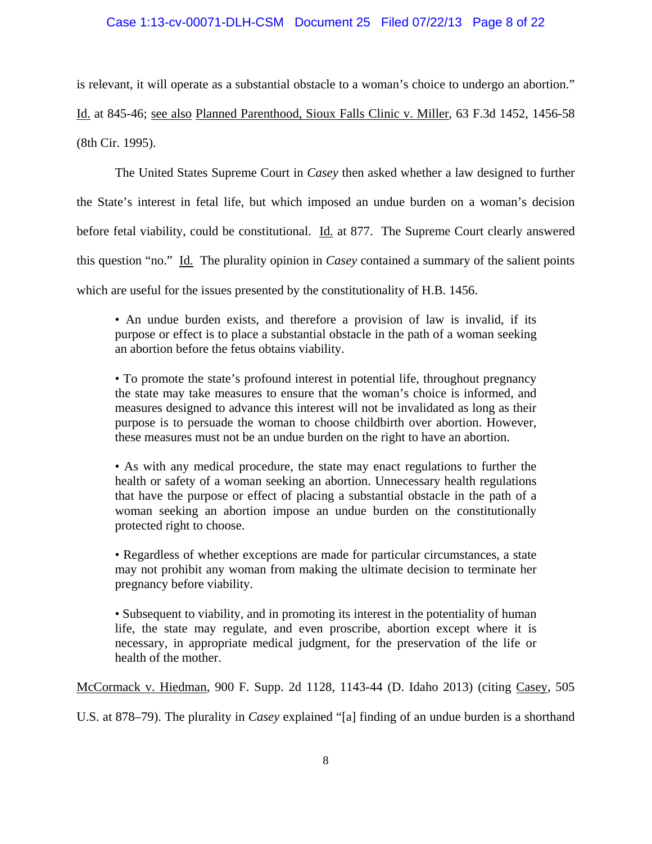## Case 1:13-cv-00071-DLH-CSM Document 25 Filed 07/22/13 Page 8 of 22

is relevant, it will operate as a substantial obstacle to a woman's choice to undergo an abortion."

Id. at 845-46; see also Planned Parenthood, Sioux Falls Clinic v. Miller, 63 F.3d 1452, 1456-58 (8th Cir. 1995).

The United States Supreme Court in *Casey* then asked whether a law designed to further the State's interest in fetal life, but which imposed an undue burden on a woman's decision before fetal viability, could be constitutional. Id. at 877. The Supreme Court clearly answered this question "no." Id. The plurality opinion in *Casey* contained a summary of the salient points which are useful for the issues presented by the constitutionality of H.B. 1456.

• An undue burden exists, and therefore a provision of law is invalid, if its purpose or effect is to place a substantial obstacle in the path of a woman seeking an abortion before the fetus obtains viability.

• To promote the state's profound interest in potential life, throughout pregnancy the state may take measures to ensure that the woman's choice is informed, and measures designed to advance this interest will not be invalidated as long as their purpose is to persuade the woman to choose childbirth over abortion. However, these measures must not be an undue burden on the right to have an abortion.

• As with any medical procedure, the state may enact regulations to further the health or safety of a woman seeking an abortion. Unnecessary health regulations that have the purpose or effect of placing a substantial obstacle in the path of a woman seeking an abortion impose an undue burden on the constitutionally protected right to choose.

• Regardless of whether exceptions are made for particular circumstances, a state may not prohibit any woman from making the ultimate decision to terminate her pregnancy before viability.

• Subsequent to viability, and in promoting its interest in the potentiality of human life, the state may regulate, and even proscribe, abortion except where it is necessary, in appropriate medical judgment, for the preservation of the life or health of the mother.

McCormack v. Hiedman, 900 F. Supp. 2d 1128, 1143-44 (D. Idaho 2013) (citing Casey, 505

U.S. at 878–79). The plurality in *Casey* explained "[a] finding of an undue burden is a shorthand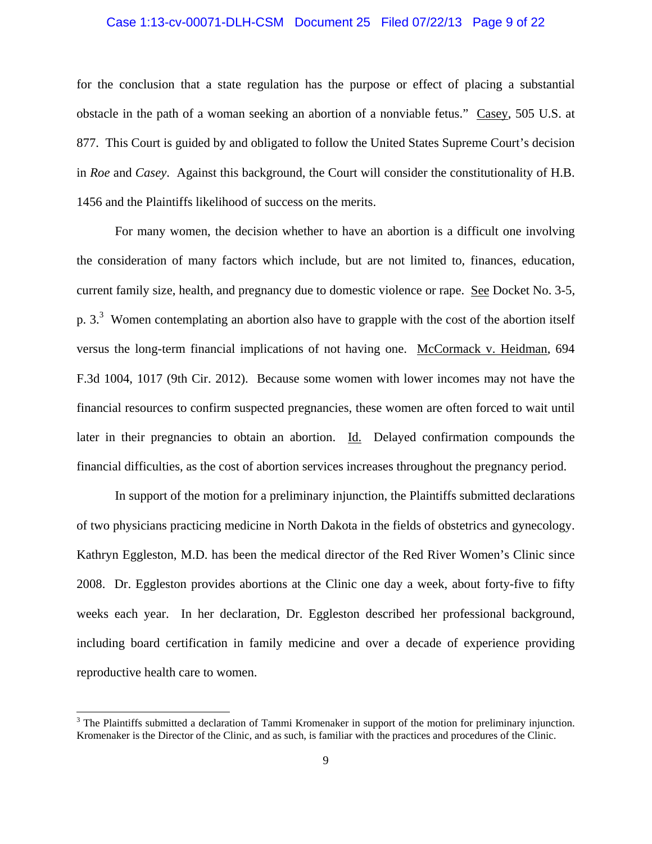### Case 1:13-cv-00071-DLH-CSM Document 25 Filed 07/22/13 Page 9 of 22

for the conclusion that a state regulation has the purpose or effect of placing a substantial obstacle in the path of a woman seeking an abortion of a nonviable fetus." Casey, 505 U.S. at 877. This Court is guided by and obligated to follow the United States Supreme Court's decision in *Roe* and *Casey*. Against this background, the Court will consider the constitutionality of H.B. 1456 and the Plaintiffs likelihood of success on the merits.

For many women, the decision whether to have an abortion is a difficult one involving the consideration of many factors which include, but are not limited to, finances, education, current family size, health, and pregnancy due to domestic violence or rape. See Docket No. 3-5, p.  $3<sup>3</sup>$  Women contemplating an abortion also have to grapple with the cost of the abortion itself versus the long-term financial implications of not having one. McCormack v. Heidman, 694 F.3d 1004, 1017 (9th Cir. 2012). Because some women with lower incomes may not have the financial resources to confirm suspected pregnancies, these women are often forced to wait until later in their pregnancies to obtain an abortion. Id. Delayed confirmation compounds the financial difficulties, as the cost of abortion services increases throughout the pregnancy period.

In support of the motion for a preliminary injunction, the Plaintiffs submitted declarations of two physicians practicing medicine in North Dakota in the fields of obstetrics and gynecology. Kathryn Eggleston, M.D. has been the medical director of the Red River Women's Clinic since 2008. Dr. Eggleston provides abortions at the Clinic one day a week, about forty-five to fifty weeks each year. In her declaration, Dr. Eggleston described her professional background, including board certification in family medicine and over a decade of experience providing reproductive health care to women.

<sup>&</sup>lt;sup>3</sup> The Plaintiffs submitted a declaration of Tammi Kromenaker in support of the motion for preliminary injunction. Kromenaker is the Director of the Clinic, and as such, is familiar with the practices and procedures of the Clinic.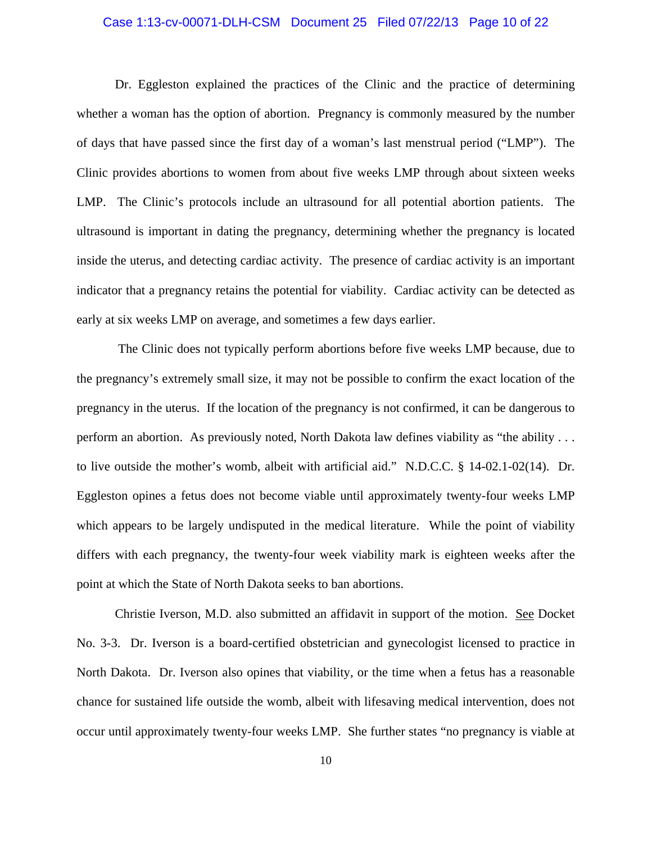## Case 1:13-cv-00071-DLH-CSM Document 25 Filed 07/22/13 Page 10 of 22

Dr. Eggleston explained the practices of the Clinic and the practice of determining whether a woman has the option of abortion. Pregnancy is commonly measured by the number of days that have passed since the first day of a woman's last menstrual period ("LMP"). The Clinic provides abortions to women from about five weeks LMP through about sixteen weeks LMP. The Clinic's protocols include an ultrasound for all potential abortion patients. The ultrasound is important in dating the pregnancy, determining whether the pregnancy is located inside the uterus, and detecting cardiac activity. The presence of cardiac activity is an important indicator that a pregnancy retains the potential for viability. Cardiac activity can be detected as early at six weeks LMP on average, and sometimes a few days earlier.

 The Clinic does not typically perform abortions before five weeks LMP because, due to the pregnancy's extremely small size, it may not be possible to confirm the exact location of the pregnancy in the uterus. If the location of the pregnancy is not confirmed, it can be dangerous to perform an abortion. As previously noted, North Dakota law defines viability as "the ability . . . to live outside the mother's womb, albeit with artificial aid." N.D.C.C. § 14-02.1-02(14). Dr. Eggleston opines a fetus does not become viable until approximately twenty-four weeks LMP which appears to be largely undisputed in the medical literature. While the point of viability differs with each pregnancy, the twenty-four week viability mark is eighteen weeks after the point at which the State of North Dakota seeks to ban abortions.

Christie Iverson, M.D. also submitted an affidavit in support of the motion. See Docket No. 3-3. Dr. Iverson is a board-certified obstetrician and gynecologist licensed to practice in North Dakota. Dr. Iverson also opines that viability, or the time when a fetus has a reasonable chance for sustained life outside the womb, albeit with lifesaving medical intervention, does not occur until approximately twenty-four weeks LMP. She further states "no pregnancy is viable at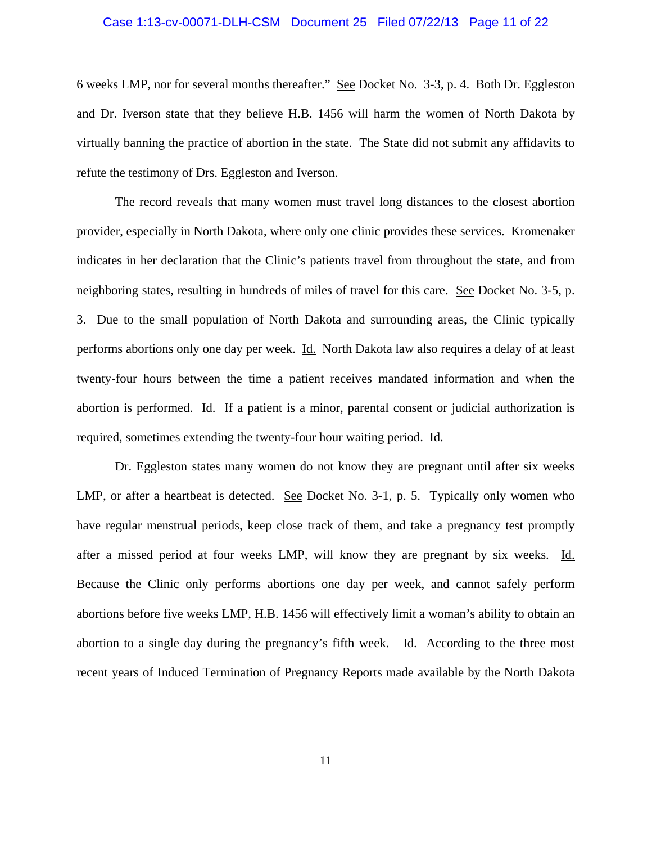#### Case 1:13-cv-00071-DLH-CSM Document 25 Filed 07/22/13 Page 11 of 22

6 weeks LMP, nor for several months thereafter." See Docket No. 3-3, p. 4. Both Dr. Eggleston and Dr. Iverson state that they believe H.B. 1456 will harm the women of North Dakota by virtually banning the practice of abortion in the state. The State did not submit any affidavits to refute the testimony of Drs. Eggleston and Iverson.

The record reveals that many women must travel long distances to the closest abortion provider, especially in North Dakota, where only one clinic provides these services. Kromenaker indicates in her declaration that the Clinic's patients travel from throughout the state, and from neighboring states, resulting in hundreds of miles of travel for this care. See Docket No. 3-5, p. 3. Due to the small population of North Dakota and surrounding areas, the Clinic typically performs abortions only one day per week. Id. North Dakota law also requires a delay of at least twenty-four hours between the time a patient receives mandated information and when the abortion is performed. Id. If a patient is a minor, parental consent or judicial authorization is required, sometimes extending the twenty-four hour waiting period. Id.

Dr. Eggleston states many women do not know they are pregnant until after six weeks LMP, or after a heartbeat is detected. See Docket No. 3-1, p. 5. Typically only women who have regular menstrual periods, keep close track of them, and take a pregnancy test promptly after a missed period at four weeks LMP, will know they are pregnant by six weeks. Id. Because the Clinic only performs abortions one day per week, and cannot safely perform abortions before five weeks LMP, H.B. 1456 will effectively limit a woman's ability to obtain an abortion to a single day during the pregnancy's fifth week. Id. According to the three most recent years of Induced Termination of Pregnancy Reports made available by the North Dakota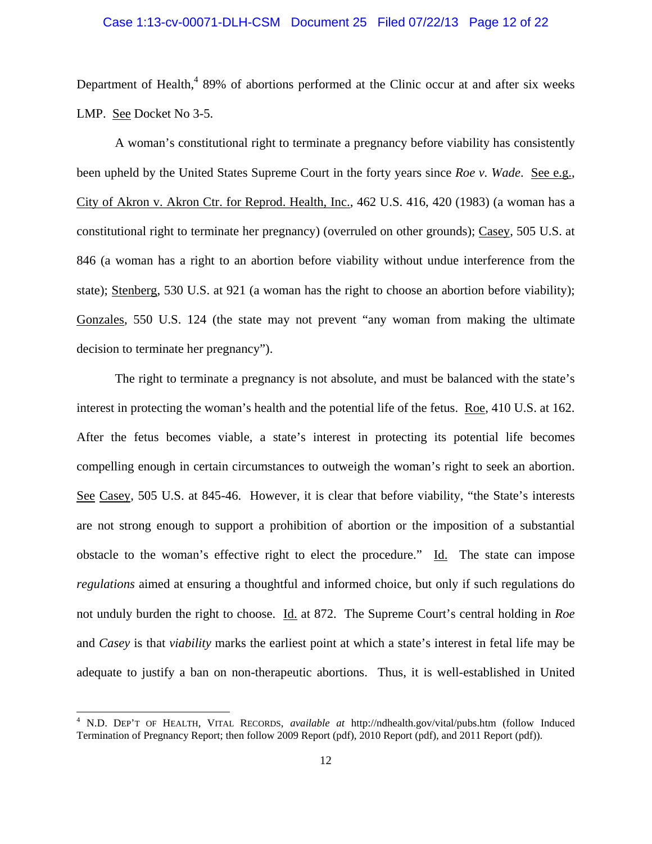### Case 1:13-cv-00071-DLH-CSM Document 25 Filed 07/22/13 Page 12 of 22

Department of Health, $489\%$  of abortions performed at the Clinic occur at and after six weeks LMP. See Docket No 3-5.

A woman's constitutional right to terminate a pregnancy before viability has consistently been upheld by the United States Supreme Court in the forty years since *Roe v. Wade*. See e.g., City of Akron v. Akron Ctr. for Reprod. Health, Inc., 462 U.S. 416, 420 (1983) (a woman has a constitutional right to terminate her pregnancy) (overruled on other grounds); Casey, 505 U.S. at 846 (a woman has a right to an abortion before viability without undue interference from the state); Stenberg, 530 U.S. at 921 (a woman has the right to choose an abortion before viability); Gonzales, 550 U.S. 124 (the state may not prevent "any woman from making the ultimate decision to terminate her pregnancy").

The right to terminate a pregnancy is not absolute, and must be balanced with the state's interest in protecting the woman's health and the potential life of the fetus. Roe, 410 U.S. at 162. After the fetus becomes viable, a state's interest in protecting its potential life becomes compelling enough in certain circumstances to outweigh the woman's right to seek an abortion. See Casey, 505 U.S. at 845-46. However, it is clear that before viability, "the State's interests are not strong enough to support a prohibition of abortion or the imposition of a substantial obstacle to the woman's effective right to elect the procedure." Id. The state can impose *regulations* aimed at ensuring a thoughtful and informed choice, but only if such regulations do not unduly burden the right to choose. Id. at 872. The Supreme Court's central holding in *Roe*  and *Casey* is that *viability* marks the earliest point at which a state's interest in fetal life may be adequate to justify a ban on non-therapeutic abortions. Thus, it is well-established in United

 4 N.D. DEP'T OF HEALTH, VITAL RECORDS, *available at* http://ndhealth.gov/vital/pubs.htm (follow Induced Termination of Pregnancy Report; then follow 2009 Report (pdf), 2010 Report (pdf), and 2011 Report (pdf)).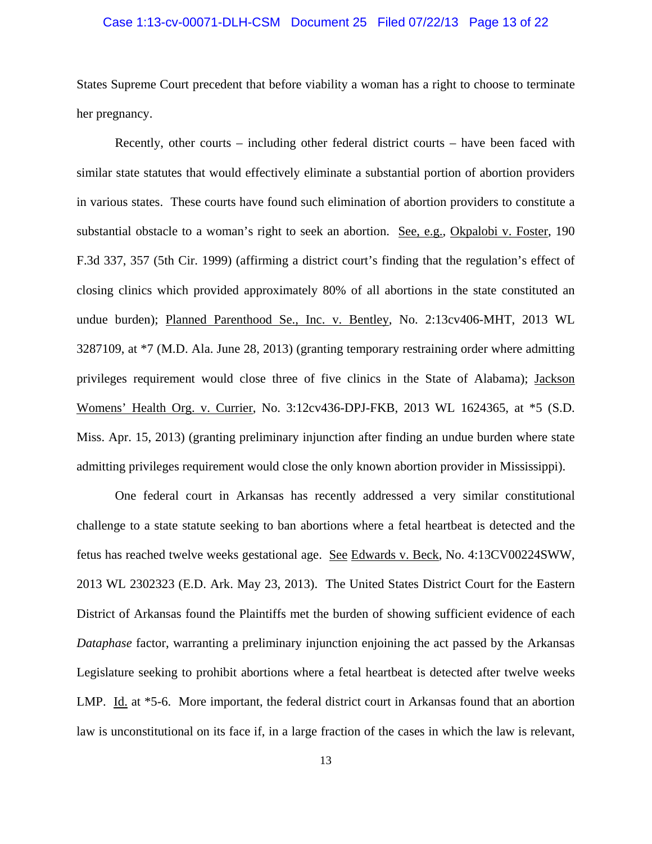### Case 1:13-cv-00071-DLH-CSM Document 25 Filed 07/22/13 Page 13 of 22

States Supreme Court precedent that before viability a woman has a right to choose to terminate her pregnancy.

Recently, other courts – including other federal district courts – have been faced with similar state statutes that would effectively eliminate a substantial portion of abortion providers in various states. These courts have found such elimination of abortion providers to constitute a substantial obstacle to a woman's right to seek an abortion. See, e.g., Okpalobi v. Foster, 190 F.3d 337, 357 (5th Cir. 1999) (affirming a district court's finding that the regulation's effect of closing clinics which provided approximately 80% of all abortions in the state constituted an undue burden); Planned Parenthood Se., Inc. v. Bentley, No. 2:13cv406-MHT, 2013 WL 3287109, at \*7 (M.D. Ala. June 28, 2013) (granting temporary restraining order where admitting privileges requirement would close three of five clinics in the State of Alabama); Jackson Womens' Health Org. v. Currier, No. 3:12cv436-DPJ-FKB, 2013 WL 1624365, at \*5 (S.D. Miss. Apr. 15, 2013) (granting preliminary injunction after finding an undue burden where state admitting privileges requirement would close the only known abortion provider in Mississippi).

 One federal court in Arkansas has recently addressed a very similar constitutional challenge to a state statute seeking to ban abortions where a fetal heartbeat is detected and the fetus has reached twelve weeks gestational age. See Edwards v. Beck, No. 4:13CV00224SWW, 2013 WL 2302323 (E.D. Ark. May 23, 2013). The United States District Court for the Eastern District of Arkansas found the Plaintiffs met the burden of showing sufficient evidence of each *Dataphase* factor, warranting a preliminary injunction enjoining the act passed by the Arkansas Legislature seeking to prohibit abortions where a fetal heartbeat is detected after twelve weeks LMP. Id. at \*5-6. More important, the federal district court in Arkansas found that an abortion law is unconstitutional on its face if, in a large fraction of the cases in which the law is relevant,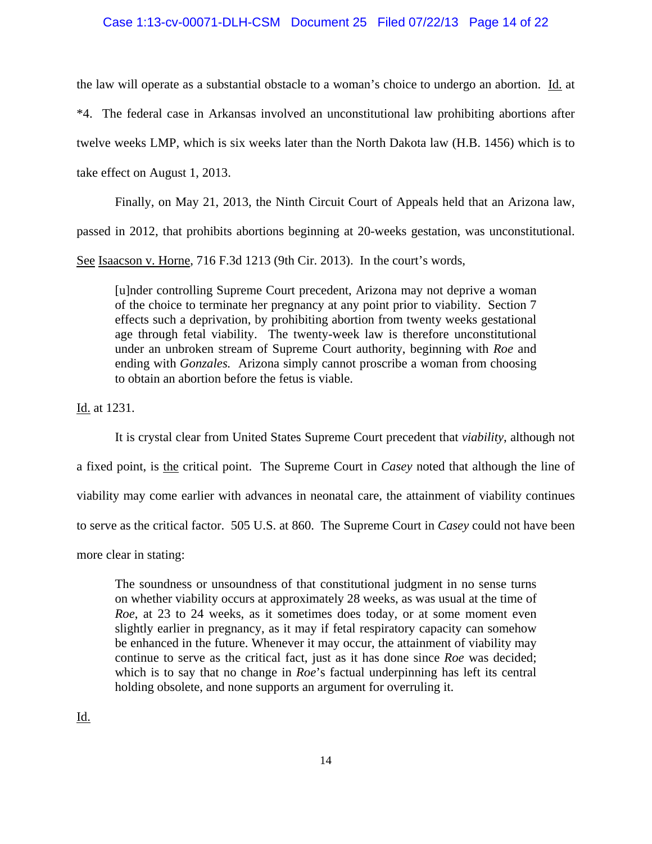## Case 1:13-cv-00071-DLH-CSM Document 25 Filed 07/22/13 Page 14 of 22

the law will operate as a substantial obstacle to a woman's choice to undergo an abortion. Id. at \*4. The federal case in Arkansas involved an unconstitutional law prohibiting abortions after twelve weeks LMP, which is six weeks later than the North Dakota law (H.B. 1456) which is to take effect on August 1, 2013.

Finally, on May 21, 2013, the Ninth Circuit Court of Appeals held that an Arizona law,

passed in 2012, that prohibits abortions beginning at 20-weeks gestation, was unconstitutional.

See Isaacson v. Horne, 716 F.3d 1213 (9th Cir. 2013). In the court's words,

[u]nder controlling Supreme Court precedent, Arizona may not deprive a woman of the choice to terminate her pregnancy at any point prior to viability. Section 7 effects such a deprivation, by prohibiting abortion from twenty weeks gestational age through fetal viability. The twenty-week law is therefore unconstitutional under an unbroken stream of Supreme Court authority, beginning with *Roe* and ending with *Gonzales.* Arizona simply cannot proscribe a woman from choosing to obtain an abortion before the fetus is viable.

Id. at 1231.

 It is crystal clear from United States Supreme Court precedent that *viability*, although not a fixed point, is the critical point. The Supreme Court in *Casey* noted that although the line of viability may come earlier with advances in neonatal care, the attainment of viability continues to serve as the critical factor. 505 U.S. at 860. The Supreme Court in *Casey* could not have been more clear in stating:

The soundness or unsoundness of that constitutional judgment in no sense turns on whether viability occurs at approximately 28 weeks, as was usual at the time of *Roe*, at 23 to 24 weeks, as it sometimes does today, or at some moment even slightly earlier in pregnancy, as it may if fetal respiratory capacity can somehow be enhanced in the future. Whenever it may occur, the attainment of viability may continue to serve as the critical fact, just as it has done since *Roe* was decided; which is to say that no change in *Roe*'s factual underpinning has left its central holding obsolete, and none supports an argument for overruling it.

Id.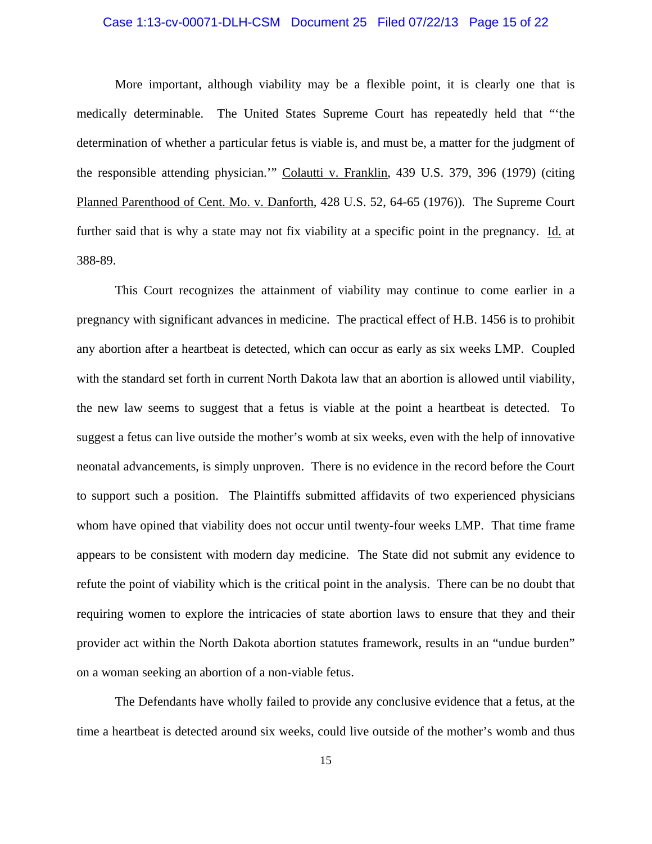## Case 1:13-cv-00071-DLH-CSM Document 25 Filed 07/22/13 Page 15 of 22

 More important, although viability may be a flexible point, it is clearly one that is medically determinable. The United States Supreme Court has repeatedly held that "'the determination of whether a particular fetus is viable is, and must be, a matter for the judgment of the responsible attending physician.'" Colautti v. Franklin, 439 U.S. 379, 396 (1979) (citing Planned Parenthood of Cent. Mo. v. Danforth, 428 U.S. 52, 64-65 (1976)). The Supreme Court further said that is why a state may not fix viability at a specific point in the pregnancy. Id. at 388-89.

This Court recognizes the attainment of viability may continue to come earlier in a pregnancy with significant advances in medicine. The practical effect of H.B. 1456 is to prohibit any abortion after a heartbeat is detected, which can occur as early as six weeks LMP. Coupled with the standard set forth in current North Dakota law that an abortion is allowed until viability, the new law seems to suggest that a fetus is viable at the point a heartbeat is detected. To suggest a fetus can live outside the mother's womb at six weeks, even with the help of innovative neonatal advancements, is simply unproven. There is no evidence in the record before the Court to support such a position. The Plaintiffs submitted affidavits of two experienced physicians whom have opined that viability does not occur until twenty-four weeks LMP. That time frame appears to be consistent with modern day medicine. The State did not submit any evidence to refute the point of viability which is the critical point in the analysis. There can be no doubt that requiring women to explore the intricacies of state abortion laws to ensure that they and their provider act within the North Dakota abortion statutes framework, results in an "undue burden" on a woman seeking an abortion of a non-viable fetus.

The Defendants have wholly failed to provide any conclusive evidence that a fetus, at the time a heartbeat is detected around six weeks, could live outside of the mother's womb and thus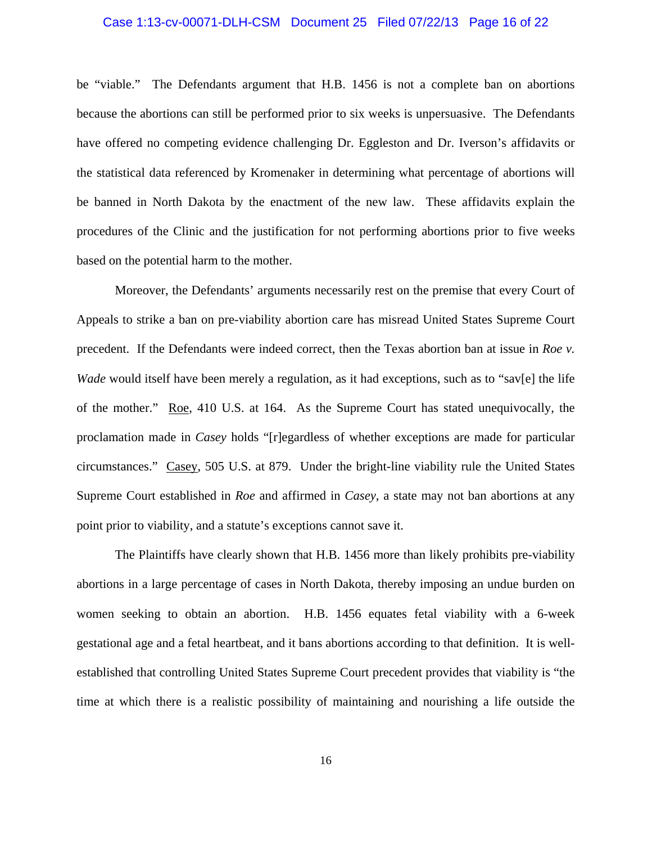#### Case 1:13-cv-00071-DLH-CSM Document 25 Filed 07/22/13 Page 16 of 22

be "viable." The Defendants argument that H.B. 1456 is not a complete ban on abortions because the abortions can still be performed prior to six weeks is unpersuasive. The Defendants have offered no competing evidence challenging Dr. Eggleston and Dr. Iverson's affidavits or the statistical data referenced by Kromenaker in determining what percentage of abortions will be banned in North Dakota by the enactment of the new law. These affidavits explain the procedures of the Clinic and the justification for not performing abortions prior to five weeks based on the potential harm to the mother.

Moreover, the Defendants' arguments necessarily rest on the premise that every Court of Appeals to strike a ban on pre-viability abortion care has misread United States Supreme Court precedent. If the Defendants were indeed correct, then the Texas abortion ban at issue in *Roe v. Wade* would itself have been merely a regulation, as it had exceptions, such as to "sav[e] the life of the mother." Roe, 410 U.S. at 164. As the Supreme Court has stated unequivocally, the proclamation made in *Casey* holds "[r]egardless of whether exceptions are made for particular circumstances." Casey, 505 U.S. at 879. Under the bright-line viability rule the United States Supreme Court established in *Roe* and affirmed in *Casey*, a state may not ban abortions at any point prior to viability, and a statute's exceptions cannot save it.

The Plaintiffs have clearly shown that H.B. 1456 more than likely prohibits pre-viability abortions in a large percentage of cases in North Dakota, thereby imposing an undue burden on women seeking to obtain an abortion. H.B. 1456 equates fetal viability with a 6-week gestational age and a fetal heartbeat, and it bans abortions according to that definition. It is wellestablished that controlling United States Supreme Court precedent provides that viability is "the time at which there is a realistic possibility of maintaining and nourishing a life outside the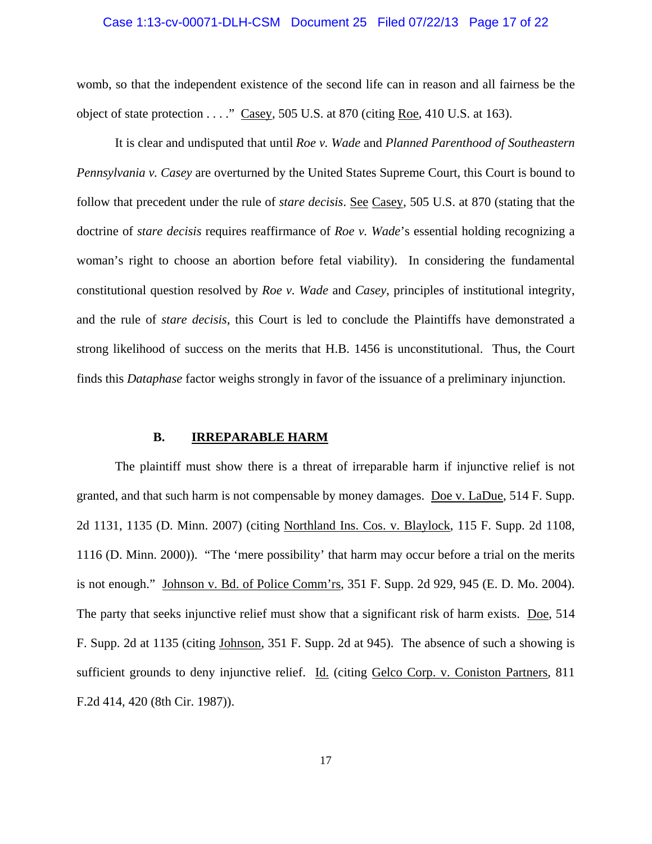### Case 1:13-cv-00071-DLH-CSM Document 25 Filed 07/22/13 Page 17 of 22

womb, so that the independent existence of the second life can in reason and all fairness be the object of state protection . . . ." Casey, 505 U.S. at 870 (citing Roe, 410 U.S. at 163).

It is clear and undisputed that until *Roe v. Wade* and *Planned Parenthood of Southeastern Pennsylvania v. Casey* are overturned by the United States Supreme Court, this Court is bound to follow that precedent under the rule of *stare decisis*. See Casey, 505 U.S. at 870 (stating that the doctrine of *stare decisis* requires reaffirmance of *Roe v. Wade*'s essential holding recognizing a woman's right to choose an abortion before fetal viability). In considering the fundamental constitutional question resolved by *Roe v. Wade* and *Casey*, principles of institutional integrity, and the rule of *stare decisis*, this Court is led to conclude the Plaintiffs have demonstrated a strong likelihood of success on the merits that H.B. 1456 is unconstitutional. Thus, the Court finds this *Dataphase* factor weighs strongly in favor of the issuance of a preliminary injunction.

#### **B. IRREPARABLE HARM**

 The plaintiff must show there is a threat of irreparable harm if injunctive relief is not granted, and that such harm is not compensable by money damages. Doe v. LaDue, 514 F. Supp. 2d 1131, 1135 (D. Minn. 2007) (citing Northland Ins. Cos. v. Blaylock, 115 F. Supp. 2d 1108, 1116 (D. Minn. 2000)). "The 'mere possibility' that harm may occur before a trial on the merits is not enough." Johnson v. Bd. of Police Comm'rs, 351 F. Supp. 2d 929, 945 (E. D. Mo. 2004). The party that seeks injunctive relief must show that a significant risk of harm exists. Doe, 514 F. Supp. 2d at 1135 (citing Johnson, 351 F. Supp. 2d at 945). The absence of such a showing is sufficient grounds to deny injunctive relief. Id. (citing Gelco Corp. v. Coniston Partners, 811 F.2d 414, 420 (8th Cir. 1987)).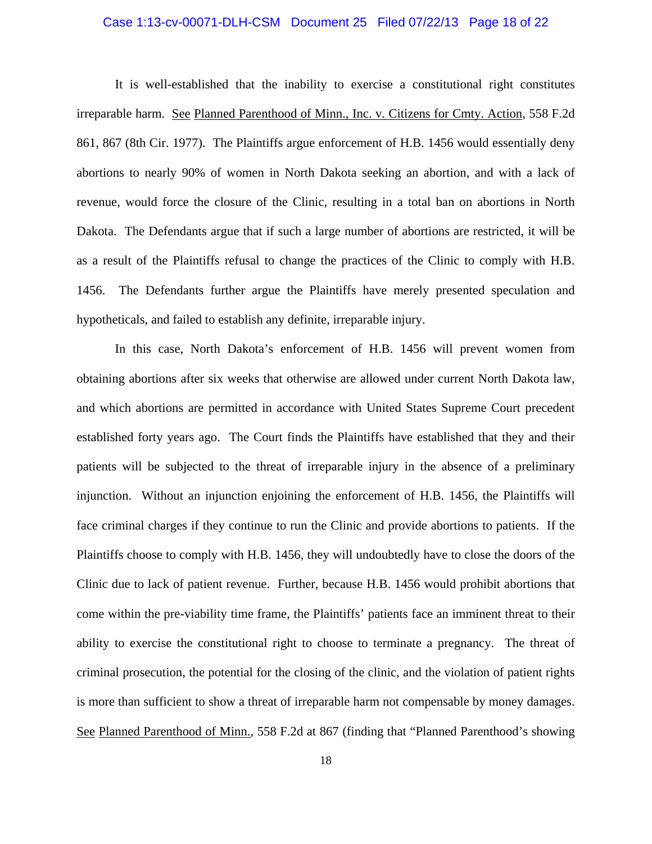### Case 1:13-cv-00071-DLH-CSM Document 25 Filed 07/22/13 Page 18 of 22

 It is well-established that the inability to exercise a constitutional right constitutes irreparable harm. See Planned Parenthood of Minn., Inc. v. Citizens for Cmty. Action, 558 F.2d 861, 867 (8th Cir. 1977). The Plaintiffs argue enforcement of H.B. 1456 would essentially deny abortions to nearly 90% of women in North Dakota seeking an abortion, and with a lack of revenue, would force the closure of the Clinic, resulting in a total ban on abortions in North Dakota. The Defendants argue that if such a large number of abortions are restricted, it will be as a result of the Plaintiffs refusal to change the practices of the Clinic to comply with H.B. 1456. The Defendants further argue the Plaintiffs have merely presented speculation and hypotheticals, and failed to establish any definite, irreparable injury.

In this case, North Dakota's enforcement of H.B. 1456 will prevent women from obtaining abortions after six weeks that otherwise are allowed under current North Dakota law, and which abortions are permitted in accordance with United States Supreme Court precedent established forty years ago. The Court finds the Plaintiffs have established that they and their patients will be subjected to the threat of irreparable injury in the absence of a preliminary injunction. Without an injunction enjoining the enforcement of H.B. 1456, the Plaintiffs will face criminal charges if they continue to run the Clinic and provide abortions to patients. If the Plaintiffs choose to comply with H.B. 1456, they will undoubtedly have to close the doors of the Clinic due to lack of patient revenue. Further, because H.B. 1456 would prohibit abortions that come within the pre-viability time frame, the Plaintiffs' patients face an imminent threat to their ability to exercise the constitutional right to choose to terminate a pregnancy. The threat of criminal prosecution, the potential for the closing of the clinic, and the violation of patient rights is more than sufficient to show a threat of irreparable harm not compensable by money damages. See Planned Parenthood of Minn., 558 F.2d at 867 (finding that "Planned Parenthood's showing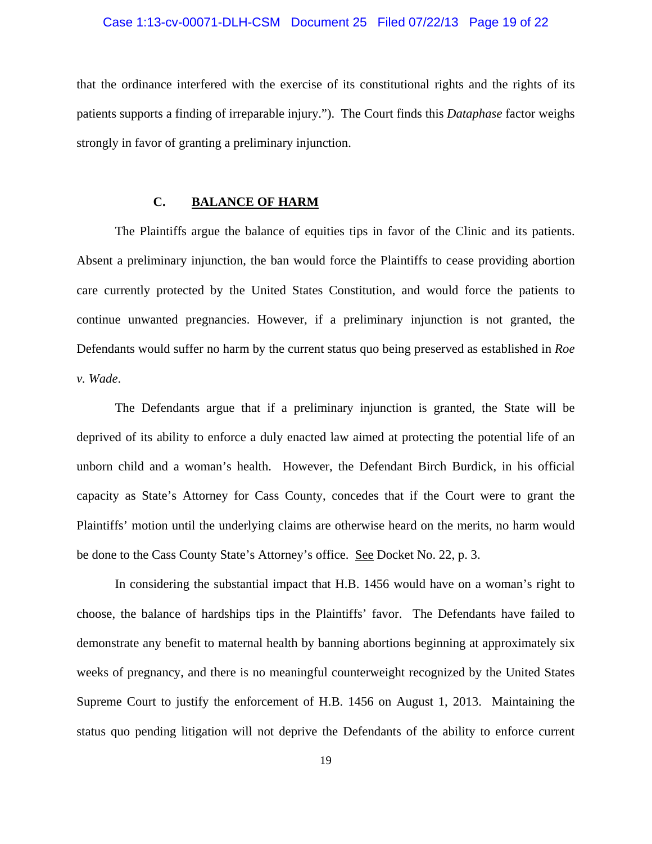### Case 1:13-cv-00071-DLH-CSM Document 25 Filed 07/22/13 Page 19 of 22

that the ordinance interfered with the exercise of its constitutional rights and the rights of its patients supports a finding of irreparable injury."). The Court finds this *Dataphase* factor weighs strongly in favor of granting a preliminary injunction.

## **C. BALANCE OF HARM**

 The Plaintiffs argue the balance of equities tips in favor of the Clinic and its patients. Absent a preliminary injunction, the ban would force the Plaintiffs to cease providing abortion care currently protected by the United States Constitution, and would force the patients to continue unwanted pregnancies. However, if a preliminary injunction is not granted, the Defendants would suffer no harm by the current status quo being preserved as established in *Roe v. Wade*.

 The Defendants argue that if a preliminary injunction is granted, the State will be deprived of its ability to enforce a duly enacted law aimed at protecting the potential life of an unborn child and a woman's health. However, the Defendant Birch Burdick, in his official capacity as State's Attorney for Cass County, concedes that if the Court were to grant the Plaintiffs' motion until the underlying claims are otherwise heard on the merits, no harm would be done to the Cass County State's Attorney's office. See Docket No. 22, p. 3.

In considering the substantial impact that H.B. 1456 would have on a woman's right to choose, the balance of hardships tips in the Plaintiffs' favor. The Defendants have failed to demonstrate any benefit to maternal health by banning abortions beginning at approximately six weeks of pregnancy, and there is no meaningful counterweight recognized by the United States Supreme Court to justify the enforcement of H.B. 1456 on August 1, 2013. Maintaining the status quo pending litigation will not deprive the Defendants of the ability to enforce current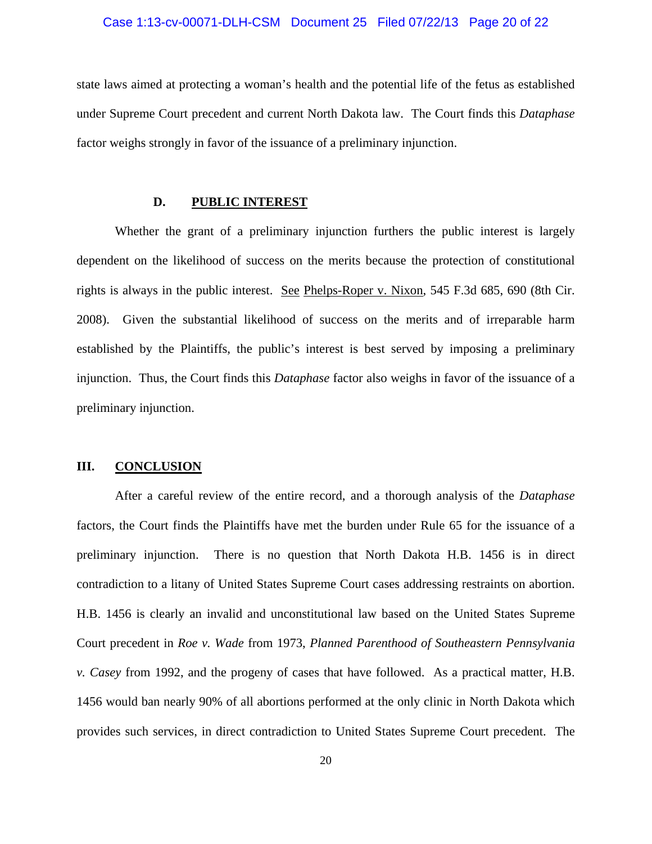#### Case 1:13-cv-00071-DLH-CSM Document 25 Filed 07/22/13 Page 20 of 22

state laws aimed at protecting a woman's health and the potential life of the fetus as established under Supreme Court precedent and current North Dakota law. The Court finds this *Dataphase* factor weighs strongly in favor of the issuance of a preliminary injunction.

## **D. PUBLIC INTEREST**

 Whether the grant of a preliminary injunction furthers the public interest is largely dependent on the likelihood of success on the merits because the protection of constitutional rights is always in the public interest. See Phelps-Roper v. Nixon, 545 F.3d 685, 690 (8th Cir. 2008). Given the substantial likelihood of success on the merits and of irreparable harm established by the Plaintiffs, the public's interest is best served by imposing a preliminary injunction. Thus, the Court finds this *Dataphase* factor also weighs in favor of the issuance of a preliminary injunction.

## **III. CONCLUSION**

 After a careful review of the entire record, and a thorough analysis of the *Dataphase* factors, the Court finds the Plaintiffs have met the burden under Rule 65 for the issuance of a preliminary injunction. There is no question that North Dakota H.B. 1456 is in direct contradiction to a litany of United States Supreme Court cases addressing restraints on abortion. H.B. 1456 is clearly an invalid and unconstitutional law based on the United States Supreme Court precedent in *Roe v. Wade* from 1973, *Planned Parenthood of Southeastern Pennsylvania v. Casey* from 1992, and the progeny of cases that have followed. As a practical matter, H.B. 1456 would ban nearly 90% of all abortions performed at the only clinic in North Dakota which provides such services, in direct contradiction to United States Supreme Court precedent. The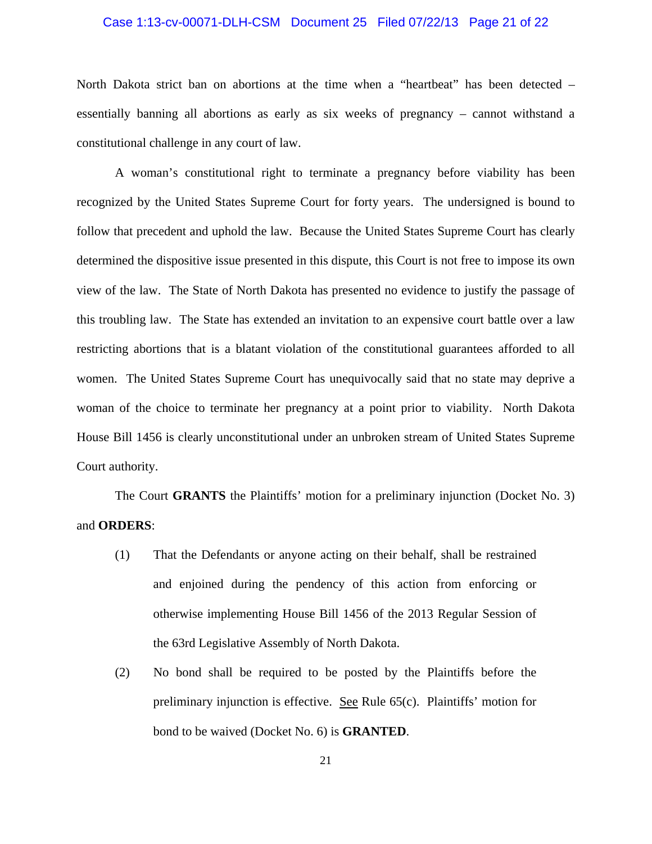#### Case 1:13-cv-00071-DLH-CSM Document 25 Filed 07/22/13 Page 21 of 22

North Dakota strict ban on abortions at the time when a "heartbeat" has been detected – essentially banning all abortions as early as six weeks of pregnancy – cannot withstand a constitutional challenge in any court of law.

 A woman's constitutional right to terminate a pregnancy before viability has been recognized by the United States Supreme Court for forty years. The undersigned is bound to follow that precedent and uphold the law. Because the United States Supreme Court has clearly determined the dispositive issue presented in this dispute, this Court is not free to impose its own view of the law. The State of North Dakota has presented no evidence to justify the passage of this troubling law. The State has extended an invitation to an expensive court battle over a law restricting abortions that is a blatant violation of the constitutional guarantees afforded to all women. The United States Supreme Court has unequivocally said that no state may deprive a woman of the choice to terminate her pregnancy at a point prior to viability. North Dakota House Bill 1456 is clearly unconstitutional under an unbroken stream of United States Supreme Court authority.

 The Court **GRANTS** the Plaintiffs' motion for a preliminary injunction (Docket No. 3) and **ORDERS**:

- (1) That the Defendants or anyone acting on their behalf, shall be restrained and enjoined during the pendency of this action from enforcing or otherwise implementing House Bill 1456 of the 2013 Regular Session of the 63rd Legislative Assembly of North Dakota.
- (2) No bond shall be required to be posted by the Plaintiffs before the preliminary injunction is effective. See Rule 65(c). Plaintiffs' motion for bond to be waived (Docket No. 6) is **GRANTED**.